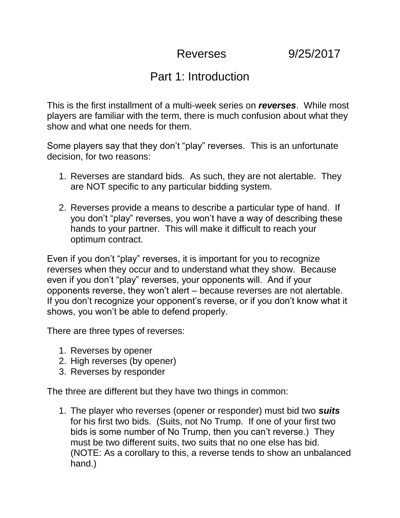## Part 1: Introduction

This is the first installment of a multi-week series on *reverses*. While most players are familiar with the term, there is much confusion about what they show and what one needs for them.

Some players say that they don't "play" reverses. This is an unfortunate decision, for two reasons:

- 1. Reverses are standard bids. As such, they are not alertable. They are NOT specific to any particular bidding system.
- 2. Reverses provide a means to describe a particular type of hand. If you don't "play" reverses, you won't have a way of describing these hands to your partner. This will make it difficult to reach your optimum contract.

Even if you don't "play" reverses, it is important for you to recognize reverses when they occur and to understand what they show. Because even if you don't "play" reverses, your opponents will. And if your opponents reverse, they won't alert – because reverses are not alertable. If you don't recognize your opponent's reverse, or if you don't know what it shows, you won't be able to defend properly.

There are three types of reverses:

- 1. Reverses by opener
- 2. High reverses (by opener)
- 3. Reverses by responder

The three are different but they have two things in common:

1. The player who reverses (opener or responder) must bid two *suits* for his first two bids. (Suits, not No Trump. If one of your first two bids is some number of No Trump, then you can't reverse.) They must be two different suits, two suits that no one else has bid. (NOTE: As a corollary to this, a reverse tends to show an unbalanced hand.)